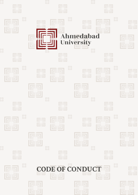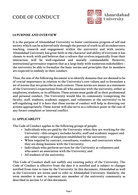

#### **1.0 PURPOSE AND OVERVIEW**

**It is the purpose of Ahmedabad University to foster continuous progress of self and society which can be achieved only through the pursuit oftruth in all its endeavours: teaching, research and engagement within the university and with society. Ahmedabad University has great faith in the character and ability of everyone it has chosen to work with and believes that a culture that evolves organically from their interaction will be well-regulated and morally commendable. However, institutional governance requires that as a large body with numerous stakeholders – the university be able to formalize the basic norms and principles that its members are expected to embody in their conduct.** 

**Thus, the aim of the following document isto identify domains that are deemed to be of crucial importance in relation to the University's core values, and to formulate a set of normsthat we prescribe in each context. These norms are meant as a statement of the University's expectations from all who associate with the university, either as employees, students, or its affiliates. These norms must guide all in their professional and personal conduct. The University would like its community (comprising the faculty, staff, students, academic support, and volunteers at the university) to be self-regulating and it is here that these norms of conduct will help in directing our actions appropriately. These norms will also serve as a reference point in the case of any future complaint or internal conflict.** 

#### **1.1. APPLICABILITY**

**The Code of Conduct applies to the following groups of people:**

- **• Individuals who are paid by the University when they are working for the University—this category includes faculty, staff and academic support and any other category of employee established by the university;**
- **• When required by contract, consultants, vendors, and contractors when they are doing business with the University;**
- **• Individuals who perform services for the University as volunteers and who assert an association with the University; and**
- **• All students of the university.**

**This Code of Conduct shall not nullify any existing policy of the University. The Code of Conduct is effective from the date it is notified and is subject to changes notified from time to time by the University. In this document, Ahmedabad as well as the University are terms used to refer to Ahmedabad University. Similarly, the term member is used to represent any member of the university community as described in section 5.1 of this document.**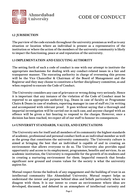

## **1.2 JURISDICTION**

**The purview of the code extends throughout the university premises as well as to any situation or location where an individual is present as a representative of the institution or where the action of the members of the university community is likely to impact the functioning, peace at and reputation of the university.**

## **1.3 IMPLEMENTATION AND EXECUTING AUTHORITY**

**The setting forth of such a code of conduct is one with our attempt to institute the appropriate mechanisms for dealing with any conduct-related issues in a fair and transparent manner. The executing authority in charge of overseeing this process will be the Vice Chancellor & Chairman of the Board of Management and the Registrar and they may choose to constitute a further disciplinary committee, as and when required to execute the Code of Conduct.**

**The University considers any case of grievance or wrong doing very seriously. Hence it is important that any instance of the violation of the Code of Conduct must be reported to an appropriate authority (e.g., Deans in case of faculty or Programme Chairs & Deans in case of students, reporting manager in case of staff etc.) in writing and accompanied with relevant proof. It goes without saying that a thorough and impartial investigation will be carried out in each case, and anyone charged with an offence will be given a fair hearing to respond to the charges. However, once a decision has been reached, we expect all of our staff to honour its consequences.**

### **1.4 UNIVERSITY STANDARDS, VALUES, AND EXPECTATIONS**

**The University sets for itself and all members of its community the highest standards of academic, professional and personal conduct both as an individual member as well as the group that constitutes the university community. The University culture is aimed at bringing the best that an individual is capable of and in creating an environment that allows everyone to do so. The University also provides equal opportunity and access to its employment, programmes, benefits and services. As an academic institution, the University is responsible for the growth of its students and in creating a nurturing environment for them. Impactful research that breaks significant new ground and creates values for the society is what the university aspires for.** 

**Mutual respect forms the bedrock of any engagement and the building of trust in an intellectual community like Ahmedabad University. Mutual respect helps us understand the intent and purpose behind ideas and beliefs particularly when we disagree with them. It is our intent to create an environment where ideas are developed, discussed, and debated in an atmosphere of intellectual curiosity and**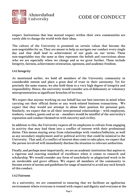

**respect. Institutions that lose mutual respect within their own communities are rarely able to change the world with their ideas.**

**The culture of the University is premised on certain values that become the non-negotiables for us. They are meant to help us navigate our conduct every single day and that shall lead to achievement of our goals on our terms. These non-negotiables stay the same as they represent the beliefs and convictions about who we are especially when we change and as we grow further. These include Integrity, fairness, achievement orientation, openness, and academic freedom.** 

### **1.4.1 Integrity**

**As mentioned earlier, we hold all members of the University community in considerable esteem and place a great deal of trust in their autonomy. Yet for precisely the same reason, we also hold them to a very high degree of integrity and responsibility. Hence, the university would consider acts of dishonesty or voluntary misrepresentation as significant breaches of its trust.** 

**We expect that anyone working on our behalf has our best interests in mind when carrying out their official duties or any work-related business transactions. We expect that they would not attempt to abuse their position for personal gain. Similarly, we expect that in all their interpersonal relationships – with employees, students, vendors, guests and so on – members would be mindful of the university's reputation and conduct themselves with sincerity and civility.** 

**In addition to this, the University expects all its employees to refrain from engaging in activity that may lead them into a conflict of interest with their professional duties. This means staying away from relationships with vendors/lobbyists, as well as any secondary employment and/or political activity that could be inimical to the University. That said, if a conflict of interest does come to take place, we expect that the person involved will immediately disclose the situation to relevant authorities.** 

**Finally, and perhaps most importantly, we are an academic institution that aspires to a rigorous and exacting standard of excellence when it comes to research and scholarship. We would consider any form of unscholarly or plagiarized work to be an intolerable and grave offence. We expect all members of the community to become aware of norms and guidelines for usage of material to avoid any such breach of this conduct.**

### **1.4.2 Fairness**

**As a university, we are committed to ensuring that we facilitate an egalitarian environment where everyone is treated with respect and dignity and everyone at the**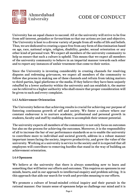

**University has an equal chance to succeed. All at the university will strive to be free from self-interest, prejudice or favouritism so that our actions are just and objective. The University is host to a diverse variety of people from all walks of life and beliefs. Thus, we are dedicated to creating a space free from any form of discrimination based on age, race, national origin, religion, disability, gender, sexual orientation or any other kind of personal trait. We expect all members of the university community to help us ensure that such a culture is upheld. This means that we expect all members of the university community to behave in an impartial manner towards each other and to report any instances of unfair treatment that come to their notice.** 

**Since the University is investing considerably in creating channels for resolving disputes and redressing grievances, we expect all members of the community to follow due process in making use of these channels and refrain from taking matters to third-parties, legal-platforms or the media. If they believe they have been unjustly rebuffed by a lower authority within the university and can establish it, the matter can be referred to a higher authority who shall ensure that proper consideration will be given to each and every complaint.** 

### **1.4.3 Achievement Orientation**

**The University believes that achieving results is crucial for achieving our purpose of fostering continuous growth of self and society. We foster a culture where our constant endeavour is to nurture academic, professional and personal growth in students, faculty and staff by enabling them to accomplish their utmost potential.**

**The university expects all members of the community to not only focus on outcomes but also on the process for achieving the outcomes. Moreover, it is the responsibility of all to increase the bar of our performance standards so as to enable the university to contribute more to individual and societal growth, address in a robust manner important issues facing the society, improve productivity, and grow the value of the university. Working at a university is service to the society and it is expected that all employees will contribute to removing hurdles that stand in the way of building an achievement orientation.**

### **1.4.4 Openness**

**We believe at the university that there is always something new to learn and something that will better our efforts and outcomes. This requires an openness in our minds, hearts, and in our approach to intellectual enquiry and problem solving. It is this approach that aids our search for truth and provides meaning to our efforts.** 

**We promote a culture of broad-minded critical inquiry and their pursuit in the rational manner. Our innate sense of openness helps us challenge our mind and it is**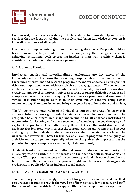

**this curiosity that begets creativity which leads us to innovate. Openness also requires that we focus on solving the problem and bring knowledge to bear on it from all directions and all people.** 

**Openness also implies assisting others in achieving their goals. Purposely holding back information to prevent others from completing their assigned tasks or achieving institutional goals or creating hurdles in their way to achieve them is considered as violation of the value of openness.** 

### **1.4.5 Academic Freedom**

**Intellectual enquiry and interdisciplinary exploration are key tenets of the University's ethos. This means that we strongly support pluralism when it comes to theoretical orientations and research programmes, and we endorse a lively spirit of debate and experimentation within scholarly and pedagogic matters. We believe that academic freedom is an indispensable constitutive step towards innovation, creativity, and novel initiatives. It gives us courage to pursue difficult questions and complicated areas of academic enquiry. The university promotes dialogue around varied ideas and thoughts as it is in their civil pursuit that we bring better understanding of complex issues and bring change in lives of individuals and society,**

**The University promotes rights of individuals to pursue their areas of enquiry as it also establishes its own right to establish its priorities on domains of enquiry. The acceptable balance hinges on a sharp understanding by all of what constitutes an opportunity for learning and an advancement of knowledge versus damaging and exploitative practices. That latter being those that use the institution and its academic freedom to adversely impact the campus learning environment and respect and dignity of individuals in the university or the university as a whole. The university, however, will have the final say on all events, programmes of enquiry, or activities on the campus and especially when anything adversely impacts or has the potential to impact campus peace and safety of its community.**

**Academic freedom is premised on intellectual honesty of the campus community and all are expected to exhibit it in the words and their action, both in classrooms and outside. We expect that members of the community will take it upon themselves to help promote the university in a positive light and be wary of damaging its credentials in public platforms including social media.**

### **1.5 WELFARE OF COMMUNITY AND STEWARDSHIP**

**The university believes strongly in the need for good infrastructure and excellent resources and it aims to provide the very best of both to its students, faculty and staff. Regardless of whether this is office support, library books, sport and art equipment,**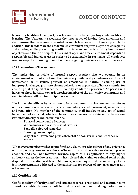

**laboratory facilities, IT support, or other necessities for supporting academic life and learning. The University recognizes the importance of having these amenities and shall ensure that everyone is granted as much free access to them as possible. In addition, this freedom in the academic environment requires a spirit of collegiality and sharing while preventing conflicts of interest and safeguarding institutional objectives and their principles. This kind of open and free environment depends on responsible and judicious use in order to be sustainable. In particular, all employees need to keep the following in mind while navigating their work at the University.**

### **1.5.1 Prevention of Harassment**

**The underlying principle of mutual respect requires that we operate in an environment without any hate. The university unilaterally condemns any form of harassment, be it sexual, physical or emotional in nature. Avoiding use of inappropriate language or unwelcome behaviour or expression of hate is essential for ensuring that the spirit of what the University stands for is preserved. No person will harass or show hostility towards another member of the university community and such incidence will call for disciplinary action.** 

**The University affirms its dedication to foster a community that condemns all forms of discrimination or acts of intolerance including sexual harassment, intimidation and retaliation. No member of the community shall indulge in any act of sexual harassment of any kind, which includes unwelcome sexually determined behaviour (whether directly or indirectly) such as:**

- **Physical contact and advances;**
- **A demand or request for sexual favours;**
- **Sexually coloured remarks;**
- **Showing pornography;**
- **Any other unwelcome physical, verbal or non-verbal conduct of sexual nature.**

**Whenever a member wishes to put forth any claim, or seeks redress of any grievance or of any wrong done to her/him, she/he must forward her/his case through proper channel, and shall not forward advance copies of his application to any higher authority unless the lower authority has rejected the claim, or refused relief or the disposal of the matter is delayed. Moreover, no employee shall be signatory of any joint representation addressed to the authorities for redress of any grievance or any other matter.**

## **1.5.2 Confidentiality**

**Confidentiality of faculty, staff, and student records is respected and maintained in accordance with University policies and procedures, laws and regulations. Such**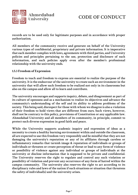

**records are to be used only for legitimate purposes and in accordance with proper authorization.**

**All members of the community receive and generate on behalf of the University various types of confidential, proprietary and private information. It is imperative that each member complies with laws, agreements with third parties, and University policies and principles pertaining to the use, protection and disclosure of such information, and such policies apply even after the member's professional relationship with the university ends.**

### **1.5.3 Freedom of Expression**

**Freedom to teach and freedom to express are essential to realize the purpose of the university. It is the endeavour of the university to create such an environment in the university that will allow such freedom to be realized not only in its classrooms but also on the campus and allow all to learn and contribute.**

**The university encourages and supports inquiry, debate, and disagreement as part of its culture of openness and as a mechanism to realize its objectives and advance the community's understanding of the self and its ability to address problems of the society. This being said, disrespect for those with whom we disagree is also a violation of their freedom to hold views that are different from ours. Such views, however, shall not be contrary to this policy, provisions of Constitution or any applicable law. Ahmedabad University and all members of its community, in principle, commit to protect such diverse expression in good faith and peace.** 

**While the University supports academic inquiry and expression of ideas as a necessity to create a healthy learning environment within and outside the classroom, all are expected to use this freedom very responsibly and be mindful that they are not damaging the university's reputation or any of its affiliates through careless or inflammatory remarks that tarnish image & reputation of individuals or groups of individuals or threaten or create perception of threat or lead to any form of violence or possibility of violence against any individual or groups of individuals at the university or disclose information that is supposed to be private and confidential. The University reserves the right to regulate and control any such violation or possibility of violation and prevent any occurrence of any form of hatred within the campus community. The university also reserves the right to act according to its disciplinary rules and laws of the nation if such situations or situation that threatens the safety of individual(s) and the university arises.**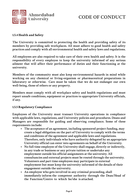

## **1.5.4 Health and Safety**

**The University is committed to protecting the health and providing safety of its members by providing safe workplaces. All must adhere to good health and safety practices and comply with all environmental health and safety laws and regulations.** 

**All employees are also required to take care of their own health and safety. It is the responsibility of every employee to keep the university informed of any serious ailment that will affect their performance of duties and their functioning at the university.** 

**Members of the community must also keep environmental hazards in mind while working on any chemical or living-organism or pharmaceutical preparations in laboratory or otherwise. Care must be taken that we do not endanger our own well-being, those of others or any property.**

**Members must comply with all workplace safety and health regulations and must report unsafe conditions, equipment or practices to appropriate University officials, if any.**

### **1.5.5 Regulatory Compliance**

**Employees of the University must transact University operations in compliance with applicable laws, regulations, and University policies and procedures. Deans and Managers are responsible for guiding and observing compliance. Some of these requirements include:**

- **The acceptance of an agreement, including sponsored project funding, may create a legal obligation on the part of University to comply with the terms and conditions of the agreement and applicable laws and regulations. Therefore, only individuals who have authority delegated by an appropriate University official can enter into agreements on behalf of the University.**
- **No full time employee of the University shall engage, directly or indirectly, in any trade or business or any private tuition or undertake any employment outside his official assignments at the university. All consultancies and external projects must be routed through the university. Volunteers and part time employees may participate in external employment but must keep the university informed of the details of their engagement outside the university.**
- **An employee who gets involved in any criminal proceeding, shall immediately inform the competent authority through the Dean/Head of the Function/Centre to which he/she is attached.**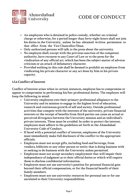

- **An employees who is detained in police custody, whether on criminal charge or otherwise, for a period longer than forty-eight hours shall not join his duties in the University, unless he has obtained written permission to that effect from the Vice Chancellor/Dean.**
- **Only authorized persons will talk to the press about the university.**
- **No employee shall, except with the previous sanction of the competent authority, have recourse to any Court of Law or to the press for the vindication of any official act, which has been the subject matter of adverse criticism or an attack of defamatory character.**
- **Provided nothing in this rule shall be deemed to prohibit an employee from vindicating his private character or any act done by him in his private capacity.**

## **1.5.6 Conflict of Interest**

**Conflict of Interest arises when in certain instances, employee has to compromise or appear to compromise in performing his/her professional duties. The employee will keep the following in mind:**

- **University employees owe their primary professional allegiance to the University and its mission to engage in the highest level of education, research and continuous growth of self and society. Outside professional activities that compete with the interests of the university, private financial interests or the receipt of benefits from third parties can cause an actual or perceived divergence between the University mission and an individual's private interests. These must be avoided. In order to protect the interest, employees must adhere to the guidelines set forth in the Ahmedabad University Code of Conduct.**
- **If faced with a potential conflict of interest, employees of the University must immediately make full disclosure of the conflict to the appropriate officials.**
- **Employees must not accept gifts, including food and beverage, from vendors, lobbyists or any other person or entity that is doing business with or seeking to do business with the University unless permitted.**
- **Employees must not accept secondary employment that will impair their independence of judgment as to their official duties or which will require them to disclose confidential information.**
- **Employees must not use university's position for personal financial gain beyond their official compensation, or for the financial benefit of their family members.**
- **Employees must not use university resources for personal use or for use unrelated to their University responsibilities.**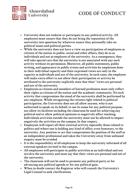

- **University does not endorse or participate in any political activity. All employees must ensure that they do not bring the reputation of the university into questions by whatever stance they personally take on political issues and political parties.**
- **While the university does not have a view on participation of employees as citizens of the nation in public, social and other affairs, they do so as individuals and not as employee of the university. As a consequence, they will take special care that the university is not associated with any such activity without its permission. Moreover, all public statements, public writing, and appearance in public events and activities by employees done in their individual capacity and their expressed views are only in the capacity as individuals and not of the university. In such cases, the employee will make extra effort to not allow their participation or activity be attributed to the university explicitly state that their "views are personal**  and not of the university.
- **Employees as citizens and members of learned profession must only reflect their rights as citizens of the nation and the academic community. No such activity that compromises the stand of the university shall be performed by any employee. While recognizing the citizens right related to political participation, the University does not all allow anyone, who is not authorised to speak on its behalf, to use its name for any political purpose, not allow its facilities including the classroom be used for achieving any political end or allow political opinions to negatively affect teaching. Individuals activities outside the university must not be allowed to impact negatively the activities on the campus. In that respect,**
- **Employees will report all their external activity especially those related to politics and where one is holding any kind of office, even honorary, to the university. Any position or act that compromises the position of the staff as an independent professional and takes the University away from unbiased enquiry must be avoided.**
- **It is the responsibility of all employees to keep the university informed of all external speakers invited to the campus.**
- **All employees will participate in public activities as an individual and not involve the university and must say that their views are personal and not of the university.**
- **The classroom will not be used to promote any political party or for advancing any political agenda or for any political gain.**
- **When in doubt contact the Registrar who will consult the University's Legal Counsel to seek clarifications**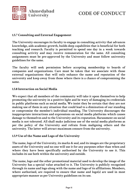

## **1.5.7 Consulting and External Engagement**

**The University encourages its faculty to engage in consulting activity that advances knowledge, aids academic growth, builds deep capabilities that is beneficial for both teaching and research. Faculty is permitted to spend one day in a week towards consulting activity and may receive remuneration for the same. All consulting assignments must be pre-approved by the University and must follow university guidelines for the same.**

**The faculty will seek permission before accepting membership to boards of companies and organizations. Care must be taken that we associate with those external organizations that will only enhance the name and reputation of the university and keep away from those where there is a chance of compromising the same.** 

### **1.5.8 Interaction on Social Media**

**We expect that all members of the community will take it upon themselves to help promoting the university in a positive light and be wary of damaging its credentials in public platforms such as social media. We insist they be certain that they are not making use of them in any situation that could lead to a diminution of our standing or compromise the member's individual standing. The University discourages the inappropriate interactions and expressions on social media platforms which causes damage to themselves and to the University and its reputation. Harassment on social media is not tolerated. All shall make judicious use of the social media platforms as per the policy of the University and refrain from maligning others and the university. The latter will attract maximum censure from the university.** 

### **1.5.9 Use of the Name and Logo of the University**

**The name, logo of the University, its marks & seal, and its images are the proprietary assets of the University and no one will use it for any purposes other than when and where they have been specifically authorised by the University to use it. This includes its use both within the university and outside.** 

**The name, logo and the other promotional material used to develop the image of the University has a special value attached to it. The University is publicly recognised through its name and logo along with the name and logo of its affiliations. Members, where authorised, are required to ensure that name and logo(s) are used in most appropriate manner as per University guidelines on its use.**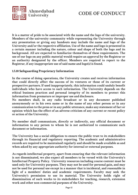

**It is a matter of pride to be associated with the name and the logo of the university. Members of the university community while representing the University through any presentation or giving any handouts may include the name and logo of the University and/or the respective affiliation. Use of the name and logo is presented in a certain manner including the nature, colour and shape of both the logo and its background. All are expected to familiarize themselves of these requirements. The use of our logo on any public material would require an approval by the Registrar or an authority designated by the officer. Members are required to report to the Registrar, if any inappropriate use of said name and logo(s) is found.** 

## **1.5.10 Safeguarding Proprietary Information**

**In the course of doing operations, the University creates and receives information that could directly affect the success of its ventures or those of its current or prospective partners. If used inappropriately, this information could unduly benefit individuals who have access to such information. The University depends on the ethical business practices and personal integrity of its members to protect this information from premature or improper use and disclosure.**

**No members shall, in any radio broadcast or in any document published anonymously or in his own name or in the name of any other person or in any communication to the press or in any public utterance, make any statement of fact or opinion which has the effect of an adverse criticism of any current or recent policy or action of the University.**

**No member shall communicate, directly or indirectly, any official document or information to any person to whom he is not authorized to communicate such document or information.**

**The University has a social obligation to ensure the public trust to its stakeholders through its financial and regulatory reporting. The academic and administrative records are required to be maintained regularly and should be made available as and when asked by any appropriate authority for internal or external purposes.** 

**As regards intellectual property, apart from ensuring that the relevant information is not disseminated, we also expect all members to be versed with the University's Intellectual Property Policy. University resources including course content must be used only for University purposes. They may not be used for personal gain, and may not be used for personal use except in a manner that is incidental, and reasonable in light of a members' duties and academic requirements. Faculty may seek the University's permission to use its material. The University holds right of dissemination of such works to its stakeholders for teaching, research, extension work and other non-commercial purposes of the University.**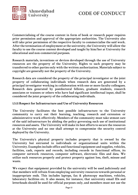

**Commercialising of the course content in form of book or research paper requires prior permission and approval of the appropriate authorities. The University also will take prior permission of the respective faculty to commercialise the said work. After the termination of employment at the university, the University will allow the faculty to use the course content developed and taught by him/her at University for educational and non-commercial purposes.**

**Research materials, inventions or devices developed through the use of University resources are the property of the University. Rights to such property may be transferred to other parties only with the written authorization. Materials subject to copyright are generally not the property of the University.**

**Research data are considered the property of the principal investigator or the joint property of collaborating individuals when research data are generated by a principal investigator working in collaboration with one or more faculty colleagues. Research data generated by postdoctoral fellows, graduate students, research associates or trainees or others who have had significant intellectual input, shall be considered the joint property of the collaborating individuals.**

### **1.5.11 Respect for Infrastructure and Use of University Resources**

**The University facilitates the best possible infrastructure to the University community to carry out their learning, teaching, research and extension or administrative work effectively. Members of the community must take utmost care of the said infrastructure by abiding the policy governing such use of institutional resources and assets. The University will make its best efforts to secure the resources at the University and no one shall attempt to compromise the security control deployed by the University.**

**The University's physical property includes property that is owned by the University but entrusted to individuals or organizational units within the University. Examples include office and functional equipment and supplies, vehicles, facilities, cash, reports and records, including records in functional offices, its computer network resources, computer software, electronic files and data. We utilize such resources properly and protect property against loss, theft, misuse and waste.**

**We expect that equipment provided by the university will be used judiciously and that members will refrain from employing university resources towards personal or inappropriate ends. This includes laptops, fax & photocopy machines, vehicles, laboratory facilities etc. It also means, for instance, that university email IDs and letterheads should be used for official purposes only, and members must not use the**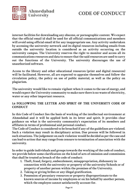

**internet facilities for downloading any obscene, or pornographic content. We expect that the official email id shall be used for all official communications and members will avoid using official email id for any inappropriate use. Any activity undertaken by accessing the university network and its digital resources including emails from outside the university location is considered as an activity occurring on the university campus. The University reserves the right to monitor and access all its communications resources and data to ensure that the said resources are used to carry out the functions of the University. The university discourages the use of unauthorized software.**

**Access to the library and other educational resources (print and digital resources) will be facilitated. However, all are expected to appraise themselves and follow the circulation policy, the policy on use of public material, as well as the policy on plagiarism.** 

**The university would like to remain vigilant when it comes to the use of energy, and would expect the University community to make sure there is no waste of electricity, water or any other important resource.** 

## **1.6 FOLLOWING THE LETTER AND SPIRIT OF THE UNIVERSITY CODE OF CONDUCT**

**In this Code of Conduct lies the basis of working of the intellectual environment at Ahmedabad and it will be applied both in its letter and spirit. It provides clear guidance on what is the university community's expectation of its members and affiliates in terms of professional and personal conduct.** 

**The Code of Conduct is considered to be breached if any of the guidelines are violated. Such a violation may result in disciplinary action. Due process will be followed in such situations. The judgement on each violation would be decided as per the case and can lead to action that may range from censure to termination of association with the university.** 

**In order to guide individuals and groups towards the working of the code of conduct, we provide below some clarification on the kind of acts of omission and commission that shall be treated as breach of the code of conduct:**

- **1. Theft, fraud, forgery, embezzlement, misappropriation, dishonesty in connection with the university or property of the university/Schools or of property of another person within the premises of the University.**
- **2. Taking or giving bribes or any illegal gratification.**
- **3. Possession of pecuniary resources or property disproportionate to the known sources of income by employees or on his behalf by another person, which the employee cannot satisfactorily account for.**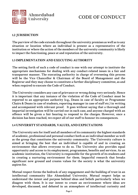

## **1.2 JURISDICTION**

**The purview of the code extends throughout the university premises as well as to any situation or location where an individual is present as a representative of the institution or where the action of the members of the university community is likely to impact the functioning, peace at and reputation of the university.**

## **1.3 IMPLEMENTATION AND EXECUTING AUTHORITY**

**The setting forth of such a code of conduct is one with our attempt to institute the appropriate mechanisms for dealing with any conduct-related issues in a fair and transparent manner. The executing authority in charge of overseeing this process will be the Vice Chancellor & Chairman of the Board of Management and the Registrar and they may choose to constitute a further disciplinary committee, as and when required to execute the Code of Conduct.**

**The University considers any case of grievance or wrong doing very seriously. Hence it is important that any instance of the violation of the Code of Conduct must be reported to an appropriate authority (e.g., Deans in case of faculty or Programme Chairs & Deans in case of students, reporting manager in case of staff etc.) in writing and accompanied with relevant proof. It goes without saying that a thorough and impartial investigation will be carried out in each case, and anyone charged with an offence will be given a fair hearing to respond to the charges. However, once a decision has been reached, we expect all of our staff to honour its consequences.**

### **1.4 UNIVERSITY STANDARDS, VALUES, AND EXPECTATIONS**

**The University sets for itself and all members of its community the highest standards of academic, professional and personal conduct both as an individual member as well as the group that constitutes the university community. The University culture is aimed at bringing the best that an individual is capable of and in creating an environment that allows everyone to do so. The University also provides equal opportunity and access to its employment, programmes, benefits and services. As an academic institution, the University is responsible for the growth of its students and in creating a nurturing environment for them. Impactful research that breaks significant new ground and creates values for the society is what the university aspires for.** 

**Mutual respect forms the bedrock of any engagement and the building of trust in an intellectual community like Ahmedabad University. Mutual respect helps us understand the intent and purpose behind ideas and beliefs particularly when we disagree with them. It is our intent to create an environment where ideas are developed, discussed, and debated in an atmosphere of intellectual curiosity and**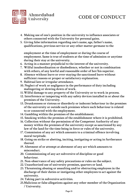

- **4. Making use of one's position in the university to influence associates or others connected with the University for personal gains.**
- **5. Giving false information regarding one's name, age, father's name, qualifications, previous service or any other matter germane to the**

 **employment at the time of employment or during the course of employment. Same is true of students at the time of admission or anytime during their stay at the university.**

- **6. Acting in a manner prejudicial to the interest of the university.**
- **7. Wilful insubordination or disobedience, whether or not in combination with others, of any lawful and reasonable order of her/his superior.**
- **8. Absence without leave or over-staying the sanctioned leave without sufficient reasons or proper or satisfactory explanation.**
- **9. Habitual late or irregular attendance.**
- **10. Neglect of work or negligence in the performance of duty including malingering or slowing down of work.**
- **11. Wilful damage to any property of the University or to work in process.**
- **12. Interference or tampering with any safety devices installed in or about the premises of the University.**
- **13. Drunkenness or riotous or disorderly or indecent behaviour in the premises of the university or outside such premises where such behaviour is related to or connected with the employment.**
- **14. Gambling within the premises of the establishment.**
- **15. Smoking within the premises of the establishment where it is prohibited.**
- **16. Collection without the permission of the Competent Authority of any money within the premises of the university except as sanctioned by any law of the land for the time being in force or rules of the university.**
- **17. Commission of any act which amounts to a criminal offence involving moral turpitude.**
- **18. Going on strike or abetting, inciting, instigating or acting in furtherance thereof.**
- **19. Abetment of or attempt at abetment of any act which amounts to misconduct.**
- **20. Commissioning of any act subversive of discipline or good behaviour.**
- **21. Non-observance of any safety precautions or rules on the subject.**
- **22. Unauthorized use of university premises, quarters or land.**
- **23. Threatening abusing or assaulting and/or obstructing employees in the discharge of their duties or instigating other employees to act against the university.**
- **24. Taking part in subversive activities.**
- **25. Malicious or false allegations against any other member of the Organization / University.**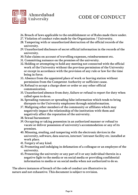

- **26. Breach of laws applicable to the establishment or of Rules made there under.**
- **27. Violation of conduct rules made by the Organization / University.**
- **28. Tampering with or unauthorized destruction of the official records of the university.**
- **29. Unauthorized disclosure of secret official information in the records of the university.**
- **30. False claims on account of travelling expenses, reimbursement etc.**
- **31. Committing nuisance on the premises of the university.**
- **32. Holding or attempting to hold any meeting not connected with the official work of the University without the previous permission of the University or except in accordance with the provision of any rule or law for the time being in force.**
- **33. Absence from the appointed place of work or leaving station without permission from the Competent Authority or sufficient cause.**
- **34. Refusal to accept a charge sheet or order or any other official communication.**
- **35. Unauthorized absence from duty, failure or refusal to report for duty when called upon to do so.**
- **36. Spreading rumours or spreading false information which tends to bring disrepute to the University employees through misinformation.**
- **37. Maligning other members of the community or affiliates which may negatively impact the relationship of the institution with them and negatively affect the reputation of the university.**
- **38. Sexual harassment**
- **39. Occupying or taking possession in an authorized manner or refusal to vacate or deliver possession of university's accommodation or any of its premises.**
- **40. Misusing, stealing, and tampering with the electronic devices in the university, software, data sources, internet/ intranet facility etc. installed at work place.**
- **41. Forgery of any kind.**
- **42. Promoting and indulging in defamation of a colleague or an employee of the university.**
- **43. Presenting the university or any part of it or any individual therein in a negative light to the media or on social media or providing confidential information to media or on social media when not authorized to do so.**

**The above instances of breach of the code of conduct are illustrative in nature and not exhaustive. This document is subject to revision.**